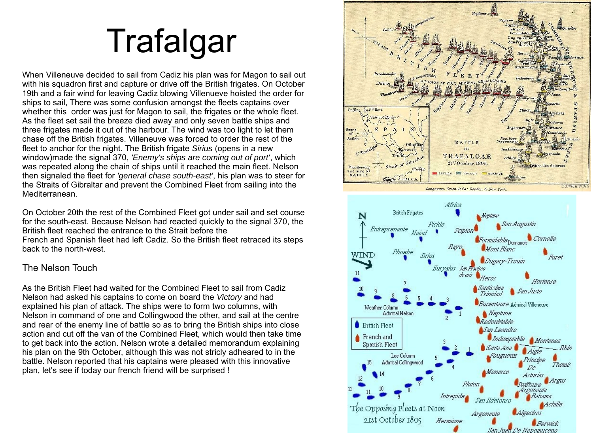# Trafalgar

When Villeneuve decided to sail from Cadiz his plan was for Magon to sail out with his squadron first and capture or drive off the British frigates. On October 19th and a fair wind for leaving Cadiz blowing Villenueve hoisted the order for ships to sail, There was some confusion amongst the fleets captains over whether this order was just for Magon to sail, the frigates or the whole fleet. As the fleet set sail the breeze died away and only seven battle ships and three frigates made it out of the harbour. The wind was too light to let them chase off the British frigates. Villeneuve was forced to order the rest of the fleet to anchor for the night. The British frigate *Sirius* (opens in a new window)made the signal 370, *'Enemy's ships are coming out of port'*, which was repeated along the chain of ships until it reached the main fleet. Nelson then signaled the fleet for *'general chase south-east'*, his plan was to steer for the Straits of Gibraltar and prevent the Combined Fleet from sailing into the Mediterranean.

On October 20th the rest of the Combined Fleet got under sail and set course for the south-east. Because Nelson had reacted quickly to the signal 370, the British fleet reached the entrance to the Strait before the French and Spanish fleet had left Cadiz. So the British fleet retraced its steps back to the north-west.

#### The Nelson Touch

As the British Fleet had waited for the Combined Fleet to sail from Cadiz Nelson had asked his captains to come on board the *Victory* and had explained his plan of attack. The ships were to form two columns, with Nelson in command of one and Collingwood the other, and sail at the centre and rear of the enemy line of battle so as to bring the British ships into close action and cut off the van of the Combined Fleet, which would then take time to get back into the action. Nelson wrote a detailed memorandum explaining his plan on the 9th October, although this was not stricly adheared to in the battle. Nelson reported that his captains were pleased with this innovative plan, let's see if today our french friend will be surprised !

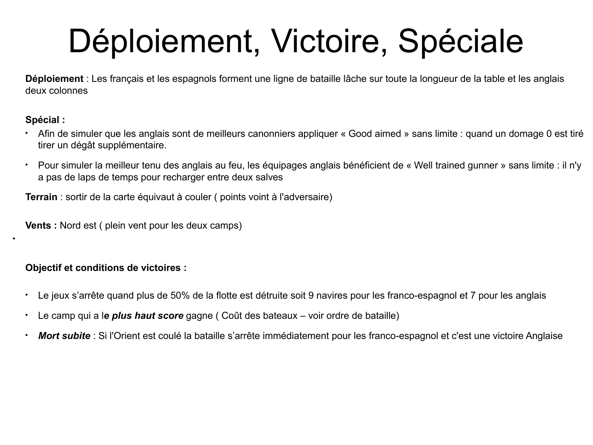# Déploiement, Victoire, Spéciale

**Déploiement** : Les français et les espagnols forment une ligne de bataille lâche sur toute la longueur de la table et les anglais deux colonnes

#### **Spécial :**

٠

- Afin de simuler que les anglais sont de meilleurs canonniers appliquer « Good aimed » sans limite : quand un domage 0 est tiré tirer un dégât supplémentaire.
- Pour simuler la meilleur tenu des anglais au feu, les équipages anglais bénéficient de « Well trained gunner » sans limite : il n'y a pas de laps de temps pour recharger entre deux salves

**Terrain** : sortir de la carte équivaut à couler ( points voint à l'adversaire)

**Vents :** Nord est ( plein vent pour les deux camps)

#### **Objectif et conditions de victoires :**

- Le jeux s'arrête quand plus de 50% de la flotte est détruite soit 9 navires pour les franco-espagnol et 7 pour les anglais
- Le camp qui a l*e plus haut score* gagne ( Coût des bateaux voir ordre de bataille)
- *Mort subite* : Si l'Orient est coulé la bataille s'arrête immédiatement pour les franco-espagnol et c'est une victoire Anglaise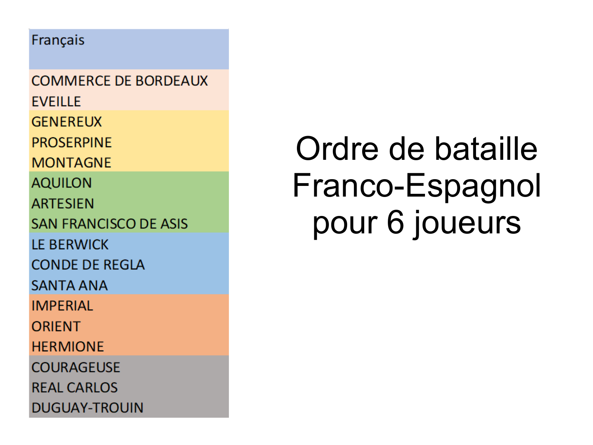### Français

**COMMERCE DE BORDEAUX FVFILLE GENEREUX PROSERPINE MONTAGNE AQUILON ARTESIEN SAN FRANCISCO DE ASIS IF BERWICK CONDE DE REGLA SANTA ANA IMPERIAL** ORIFNT **HFRMIONF COURAGEUSE REAL CARLOS DUGUAY-TROUIN** 

## Ordre de bataille Franco-Espagnol pour 6 joueurs